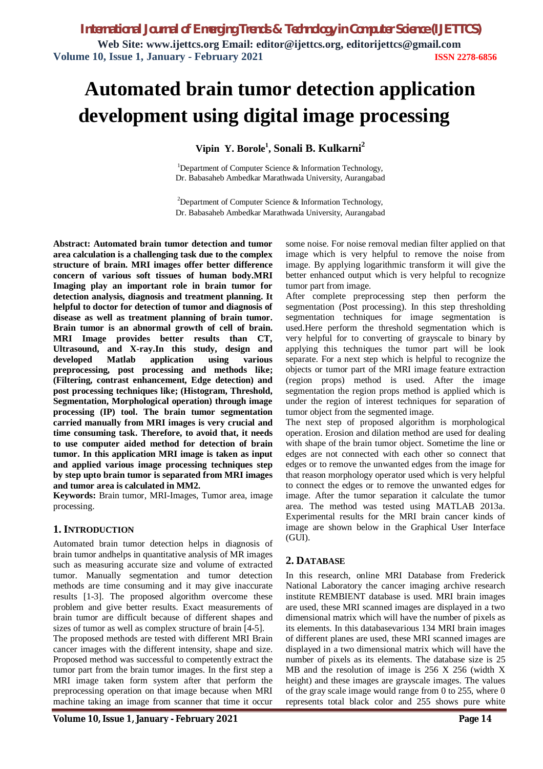# **Automated brain tumor detection application development using digital image processing**

**Vipin Y. Borole<sup>1</sup> , Sonali B. Kulkarni<sup>2</sup>**

<sup>1</sup>Department of Computer Science  $\&$  Information Technology, Dr. Babasaheb Ambedkar Marathwada University, Aurangabad

<sup>2</sup>Department of Computer Science  $\&$  Information Technology, Dr. Babasaheb Ambedkar Marathwada University, Aurangabad

**Abstract: Automated brain tumor detection and tumor area calculation is a challenging task due to the complex structure of brain. MRI images offer better difference concern of various soft tissues of human body.MRI Imaging play an important role in brain tumor for detection analysis, diagnosis and treatment planning. It helpful to doctor for detection of tumor and diagnosis of disease as well as treatment planning of brain tumor. Brain tumor is an abnormal growth of cell of brain. MRI Image provides better results than CT, Ultrasound, and X-ray.In this study, design and developed Matlab application using various preprocessing, post processing and methods like; (Filtering, contrast enhancement, Edge detection) and post processing techniques like; (Histogram, Threshold, Segmentation, Morphological operation) through image processing (IP) tool. The brain tumor segmentation carried manually from MRI images is very crucial and time consuming task. Therefore, to avoid that, it needs to use computer aided method for detection of brain tumor. In this application MRI image is taken as input and applied various image processing techniques step by step upto brain tumor is separated from MRI images and tumor area is calculated in MM2.**

**Keywords:** Brain tumor, MRI-Images, Tumor area, image processing.

# **1. INTRODUCTION**

Automated brain tumor detection helps in diagnosis of brain tumor andhelps in quantitative analysis of MR images such as measuring accurate size and volume of extracted tumor. Manually segmentation and tumor detection methods are time consuming and it may give inaccurate results [1-3]. The proposed algorithm overcome these problem and give better results. Exact measurements of brain tumor are difficult because of different shapes and sizes of tumor as well as complex structure of brain [4-5].

The proposed methods are tested with different MRI Brain cancer images with the different intensity, shape and size. Proposed method was successful to competently extract the tumor part from the brain tumor images. In the first step a MRI image taken form system after that perform the preprocessing operation on that image because when MRI machine taking an image from scanner that time it occur some noise. For noise removal median filter applied on that image which is very helpful to remove the noise from image. By applying logarithmic transform it will give the better enhanced output which is very helpful to recognize tumor part from image.

After complete preprocessing step then perform the segmentation (Post processing). In this step thresholding segmentation techniques for image segmentation is used.Here perform the threshold segmentation which is very helpful for to converting of grayscale to binary by applying this techniques the tumor part will be look separate. For a next step which is helpful to recognize the objects or tumor part of the MRI image feature extraction (region props) method is used. After the image segmentation the region props method is applied which is under the region of interest techniques for separation of tumor object from the segmented image.

The next step of proposed algorithm is morphological operation. Erosion and dilation method are used for dealing with shape of the brain tumor object. Sometime the line or edges are not connected with each other so connect that edges or to remove the unwanted edges from the image for that reason morphology operator used which is very helpful to connect the edges or to remove the unwanted edges for image. After the tumor separation it calculate the tumor area. The method was tested using MATLAB 2013a. Experimental results for the MRI brain cancer kinds of image are shown below in the Graphical User Interface (GUI).

# **2. DATABASE**

In this research, online MRI Database from Frederick National Laboratory the cancer imaging archive research institute REMBIENT database is used. MRI brain images are used, these MRI scanned images are displayed in a two dimensional matrix which will have the number of pixels as its elements. In this databasevarious 134 MRI brain images of different planes are used, these MRI scanned images are displayed in a two dimensional matrix which will have the number of pixels as its elements. The database size is 25 MB and the resolution of image is 256 X 256 (width X height) and these images are grayscale images. The values of the gray scale image would range from 0 to 255, where 0 represents total black color and 255 shows pure white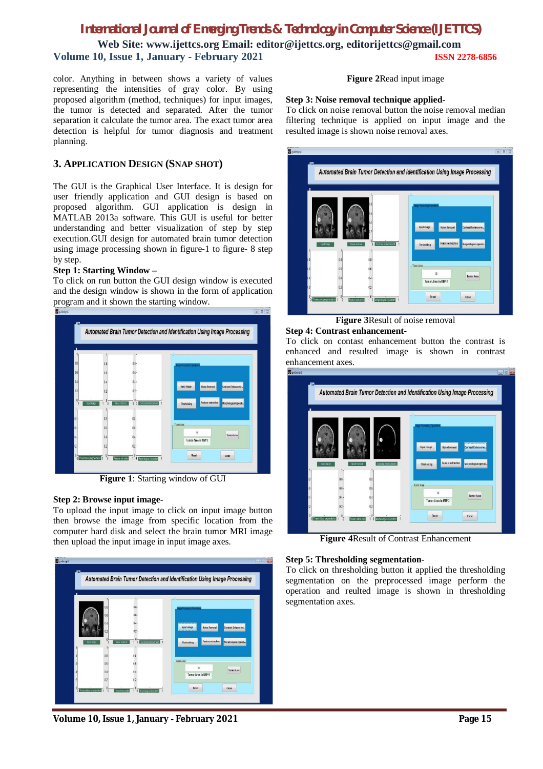# *International Journal of Emerging Trends & Technology in Computer Science (IJETTCS)* **Web Site: www.ijettcs.org Email: editor@ijettcs.org, editorijettcs@gmail.com Volume 10, Issue 1, January - February 2021 ISSN 2278-6856**

color. Anything in between shows a variety of values representing the intensities of gray color. By using proposed algorithm (method, techniques) for input images, the tumor is detected and separated. After the tumor separation it calculate the tumor area. The exact tumor area detection is helpful for tumor diagnosis and treatment planning.

## **3. APPLICATION DESIGN (SNAP SHOT)**

The GUI is the Graphical User Interface. It is design for user friendly application and GUI design is based on proposed algorithm. GUI application is design in MATLAB 2013a software. This GUI is useful for better understanding and better visualization of step by step execution.GUI design for automated brain tumor detection using image processing shown in figure-1 to figure- 8 step by step.

#### **Step 1: Starting Window –**

To click on run button the GUI design window is executed and the design window is shown in the form of application program and it shown the starting window.



**Figure 1**: Starting window of GUI

#### **Step 2: Browse input image-**

To upload the input image to click on input image button then browse the image from specific location from the computer hard disk and select the brain tumor MRI image then upload the input image in input image axes.



**Volume 10, Issue 1, January - February 2021 Page 15**

## **Figure 2**Read input image

#### **Step 3: Noise removal technique applied-**

To click on noise removal button the noise removal median filtering technique is applied on input image and the resulted image is shown noise removal axes.



**Figure 3**Result of noise removal

#### **Step 4: Contrast enhancement-**

To click on contast enhancement button the contrast is enhanced and resulted image is shown in contrast enhancement axes.



**Figure 4**Result of Contrast Enhancement

#### **Step 5: Thresholding segmentation-**

To click on thresholding button it applied the thresholding segmentation on the preprocessed image perform the operation and reulted image is shown in thresholding segmentation axes.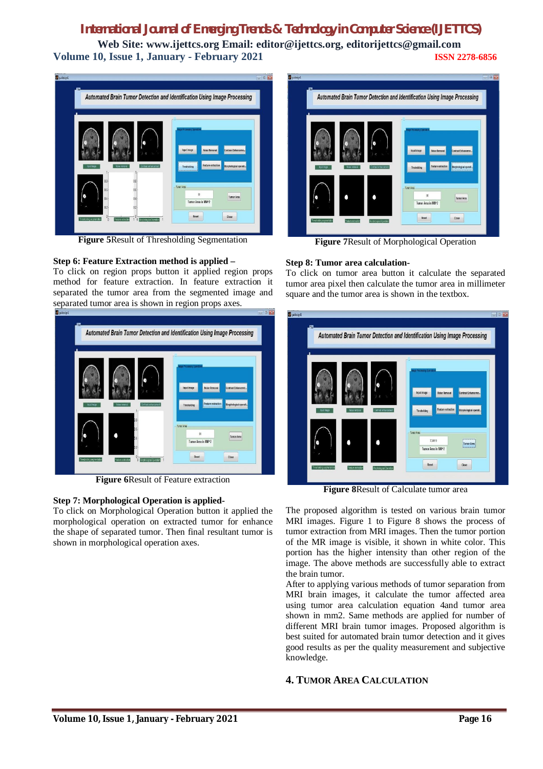# *International Journal of Emerging Trends & Technology in Computer Science (IJETTCS)*

**Web Site: www.ijettcs.org Email: editor@ijettcs.org, editorijettcs@gmail.com Volume 10, Issue 1, January - February 2021 ISSN 2278-6856**



**Figure 5**Result of Thresholding Segmentation

# **Step 6: Feature Extraction method is applied –**

To click on region props button it applied region props method for feature extraction. In feature extraction it separated the tumor area from the segmented image and separated tumor area is shown in region props axes.



**Figure 6**Result of Feature extraction

#### **Step 7: Morphological Operation is applied-**

To click on Morphological Operation button it applied the morphological operation on extracted tumor for enhance the shape of separated tumor. Then final resultant tumor is shown in morphological operation axes.



**Figure 7**Result of Morphological Operation

#### **Step 8: Tumor area calculation-**

To click on tumor area button it calculate the separated tumor area pixel then calculate the tumor area in millimeter square and the tumor area is shown in the textbox.

|             |               |                      | Automated Brain Tumor Detection and Identification Using Image Processing                     |                                              |
|-------------|---------------|----------------------|-----------------------------------------------------------------------------------------------|----------------------------------------------|
| insut Insoe | Noise removal | Contrast enhancement | age Processing Operation<br>Input image<br>Noise Removal<br>Feature extraction<br>Thrsholding | Contrast Enhanceme<br>Morphological operati. |
|             |               |                      | Tumor Area<br>7,24919<br>Tumor Area in MM^2                                                   | 1.1.1.1.1<br><b>Tumor Area</b><br>kamanan    |

**Figure 8**Result of Calculate tumor area

The proposed algorithm is tested on various brain tumor MRI images. Figure 1 to Figure 8 shows the process of tumor extraction from MRI images. Then the tumor portion of the MR image is visible, it shown in white color. This portion has the higher intensity than other region of the image. The above methods are successfully able to extract the brain tumor.

After to applying various methods of tumor separation from MRI brain images, it calculate the tumor affected area using tumor area calculation equation 4and tumor area shown in mm2. Same methods are applied for number of different MRI brain tumor images. Proposed algorithm is best suited for automated brain tumor detection and it gives good results as per the quality measurement and subjective knowledge.

# **4. TUMOR AREA CALCULATION**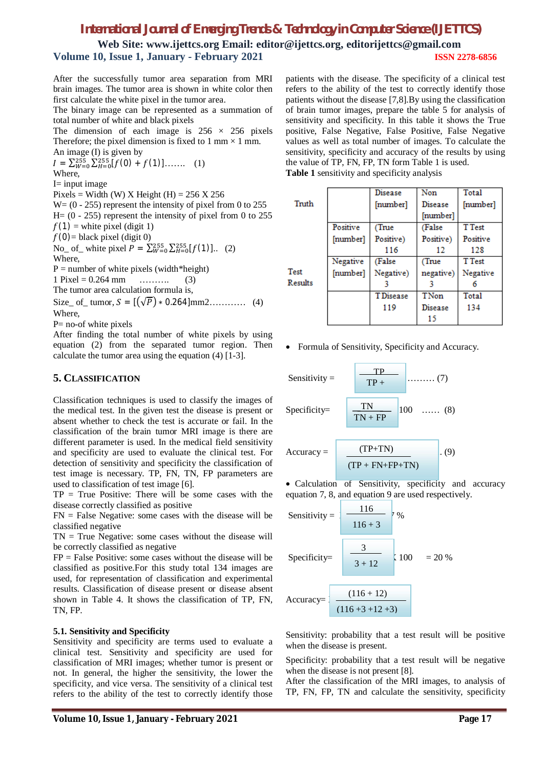# *International Journal of Emerging Trends & Technology in Computer Science (IJETTCS)*

Truth

**Web Site: www.ijettcs.org Email: editor@ijettcs.org, editorijettcs@gmail.com Volume 10, Issue 1, January - February 2021 ISSN 2278-6856**

After the successfully tumor area separation from MRI brain images. The tumor area is shown in white color then first calculate the white pixel in the tumor area.

The binary image can be represented as a summation of total number of white and black pixels

The dimension of each image is  $256 \times 256$  pixels Therefore; the pixel dimension is fixed to 1 mm  $\times$  1 mm. An image  $(I)$  is given by

 $I = \sum_{W=0}^{255} \sum_{H=0}^{255} [f(0) + f(1)] \dots \dots (1)$ Where,  $I=$  input image Pixels = Width (W) X Height (H) =  $256$  X  $256$ 

 $W = (0 - 255)$  represent the intensity of pixel from 0 to 255  $H=(0 - 255)$  represent the intensity of pixel from 0 to 255  $f(1)$  = white pixel (digit 1)  $f(0)$ = black pixel (digit 0) No\_ of\_ white pixel  $P = \sum_{W=0}^{255} \sum_{H=0}^{255} [f(1)]...$  (2) Where,  $P =$  number of white pixels (width\*height)  $1 \text{ Pixel} = 0.264 \text{ mm}$  ………. (3) The tumor area calculation formula is,

Size\_ of\_ tumor,  $S = [(\sqrt{P}) * 0.264]$ mm2………… (4) Where,

P= no-of white pixels

After finding the total number of white pixels by using equation (2) from the separated tumor region. Then calculate the tumor area using the equation (4) [1-3].

# **5. CLASSIFICATION**

Classification techniques is used to classify the images of the medical test. In the given test the disease is present or absent whether to check the test is accurate or fail. In the classification of the brain tumor MRI image is there are different parameter is used. In the medical field sensitivity and specificity are used to evaluate the clinical test. For detection of sensitivity and specificity the classification of test image is necessary. TP, FN, TN, FP parameters are used to classification of test image [6].

 $TP = True Positive: There will be some cases with the$ disease correctly classified as positive

 $FN$  = False Negative: some cases with the disease will be classified negative

 $TN = True$  Negative: some cases without the disease will be correctly classified as negative

 $FP = False Positive: some cases without the disease will be$ classified as positive.For this study total 134 images are used, for representation of classification and experimental results. Classification of disease present or disease absent shown in Table 4. It shows the classification of TP, FN, TN, FP.

#### **5.1. Sensitivity and Specificity**

Sensitivity and specificity are terms used to evaluate a clinical test. Sensitivity and specificity are used for classification of MRI images; whether tumor is present or not. In general, the higher the sensitivity, the lower the specificity, and vice versa. The sensitivity of a clinical test refers to the ability of the test to correctly identify those

Negative (False (True Test [number] Negative) negative) Results 3 3 **TDisease** TNon 119 **Disease** 15

Positive

[number]

Formula of Sensitivity, Specificity and Accuracy.

Sensitivity = 
$$
\frac{TP}{TP +}
$$
 (7)  
Specificity = 
$$
\frac{TN}{TN + FP}
$$
 [100 ...... (8)

$$
Accuracy = \frac{(TP + TN)}{(TP + FN + FP + TN)}
$$
 (9)

 Calculation of Sensitivity, specificity and accuracy equation 7, 8, and equation 9 are used respectively.

Sensitivity = 
$$
\frac{116}{116 + 3} \div 96
$$
  
Specificity = 
$$
\frac{3}{3 + 12} \div 100 = 20\%
$$

$$
Accuracy = \frac{(116 + 12)}{(116 + 3 + 12 + 3)}
$$

Sensitivity: probability that a test result will be positive when the disease is present.

Specificity: probability that a test result will be negative when the disease is not present [8].

After the classification of the MRI images, to analysis of TP, FN, FP, TN and calculate the sensitivity, specificity

patients with the disease. The specificity of a clinical test refers to the ability of the test to correctly identify those patients without the disease [7,8].By using the classification of brain tumor images, prepare the table 5 for analysis of sensitivity and specificity. In this table it shows the True positive, False Negative, False Positive, False Negative values as well as total number of images. To calculate the sensitivity, specificity and accuracy of the results by using the value of TP, FN, FP, TN form Table 1 is used. **Table 1** sensitivity and specificity analysis

**Disease** 

(True

Positive)

116

[number]

Non

Disease

[number] (False

Positive)

12

Total

**T**Test

Positive

128

Negative

6

Total

134

**T**Test

[number]